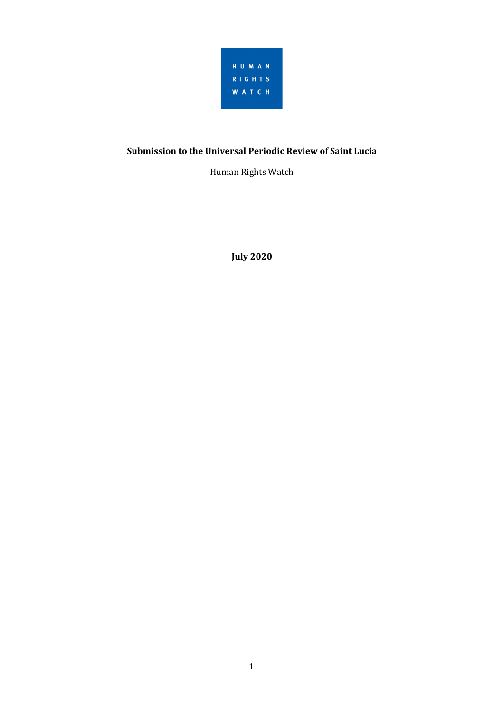

# **Submission to the Universal Periodic Review of Saint Lucia**

Human Rights Watch

**July 2020**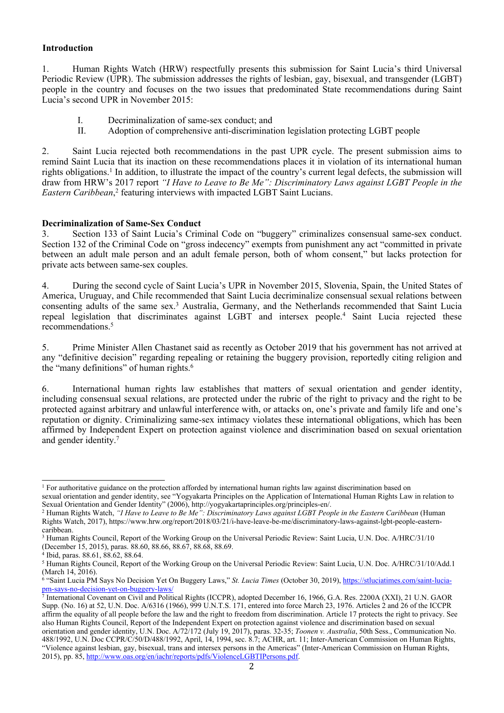### **Introduction**

1. Human Rights Watch (HRW) respectfully presents this submission for Saint Lucia'<sup>s</sup> third Universal Periodic Review (UPR). The submission addresses the rights of lesbian, gay, bisexual, and transgender (LGBT) people in the country and focuses on the two issues that predominated State recommendations during Saint Lucia'<sup>s</sup> second UPR in November 2015:

- I. Decriminalization of same-sex conduct; and
- II. Adoption of comprehensive anti-discrimination legislation protecting LGBT people

2. Saint Lucia rejected both recommendations in the pas<sup>t</sup> UPR cycle. The presen<sup>t</sup> submission aims to remind Saint Lucia that its inaction on these recommendations places it in violation of its international human rights obligations. 1 In addition, to illustrate the impact of the country'<sup>s</sup> current legal defects, the submission will draw from HRW's 2017 report "I Have to Leave to Be Me": Discriminatory Laws against LGBT People in the *Eastern Caribbean*, 2 featuring interviews with impacted LGBT Saint Lucians.

## **Decriminalization of Same-Sex Conduct**

3. Section 133 of Saint Lucia'<sup>s</sup> Criminal Code on "buggery" criminalizes consensual same-sex conduct. Section 132 of the Criminal Code on "gross indecency" exempts from punishment any act "committed in private between an adult male person and an adult female person, both of whom consent," but lacks protection for private acts between same-sex couples.

4. During the second cycle of Saint Lucia'<sup>s</sup> UPR in November 2015, Slovenia, Spain, the United States of America, Uruguay, and Chile recommended that Saint Lucia decriminalize consensual sexual relations between consenting adults of the same sex. <sup>3</sup> Australia, Germany, and the Netherlands recommended that Saint Lucia repeal legislation that discriminates against LGBT and intersex people. 4 Saint Lucia rejected these recommendations. 5

5. Prime Minister Allen Chastanet said as recently as October 2019 that his governmen<sup>t</sup> has not arrived at any "definitive decision" regarding repealing or retaining the buggery provision, reportedly citing religion and the "many definitions" of human rights.<sup>6</sup>

6. International human rights law establishes that matters of sexual orientation and gender identity, including consensual sexual relations, are protected under the rubric of the right to privacy and the right to be protected against arbitrary and unlawful interference with, or attacks on, one'<sup>s</sup> private and family life and one'<sup>s</sup> reputation or dignity. Criminalizing same-sex intimacy violates these international obligations, which has been affirmed by Independent Expert on protection against violence and discrimination based on sexual orientation and gender identity. 7

<sup>1</sup> For authoritative guidance on the protection afforded by international human rights law against discrimination based on sexual orientation and gender identity, see "Yogyakarta Principles on the Application of International Human Rights Law in relation to Sexual Orientation and Gender Identity" (2006), http://yogyakartaprinciples.org/principles-en/.

<sup>&</sup>lt;sup>2</sup> Human Rights Watch, "I Have to Leave to Be Me": Discriminatory Laws against LGBT People in the Eastern Caribbean (Human Rights Watch, 2017), https://www.hrw.org/report/2018/03/21/i-have-leave-be-me/discriminatory-laws-against-lgbt-people-easterncaribbean.

<sup>&</sup>lt;sup>3</sup> Human Rights Council, Report of the Working Group on the Universal Periodic Review: Saint Lucia, U.N. Doc. A/HRC/31/10 (December 15, 2015), paras. 88.60, 88.66, 88.67, 88.68, 88.69.

<sup>4</sup> Ibid, paras. 88.61, 88.62, 88.64.

<sup>&</sup>lt;sup>5</sup> Human Rights Council, Report of the Working Group on the Universal Periodic Review: Saint Lucia, U.N. Doc. A/HRC/31/10/Add.1 (March 14, 2016).

<sup>6</sup> "Saint Lucia PM Says No Decision Yet On Buggery Laws," *St. Lucia Times* (October 30, 2019), [https://stluciatimes.com/saint-lucia-](https://stluciatimes.com/saint-lucia-pm-says-no-decision-yet-on-buggery-laws/)

[pm-says-no-decision-yet-on-buggery-laws/](https://stluciatimes.com/saint-lucia-pm-says-no-decision-yet-on-buggery-laws/) 7 International Covenant on Civil and Political Rights (ICCPR), adopted December 16, 1966, G.A. Res. 2200A (XXI), 21 U.N. GAOR Supp. (No. 16) at 52, U.N. Doc. A/6316 (1966), 999 U.N.T.S. 171, entered into force March 23, 1976. Articles 2 and 26 of the ICCPR affirm the equality of all people before the law and the right to freedom from discrimination. Article 17 protects the right to privacy. See also Human Rights Council, Report of the Independent Expert on protection against violence and discrimination based on sexual orientation and gender identity, U.N. Doc. A/72/172 (July 19, 2017), paras. 32-35; *Toonen v. Australia*, 50th Sess., Communication No. 488/1992, U.N. Doc CCPR/C/50/D/488/1992, April, 14, 1994, sec. 8.7; ACHR, art. 11; Inter-American Commission on Human Rights, "Violence against lesbian, gay, bisexual, trans and intersex persons in the Americas" (Inter-American Commission on Human Rights, 2015), pp. 85, <http://www.oas.org/en/iachr/reports/pdfs/ViolenceLGBTIPersons.pdf>.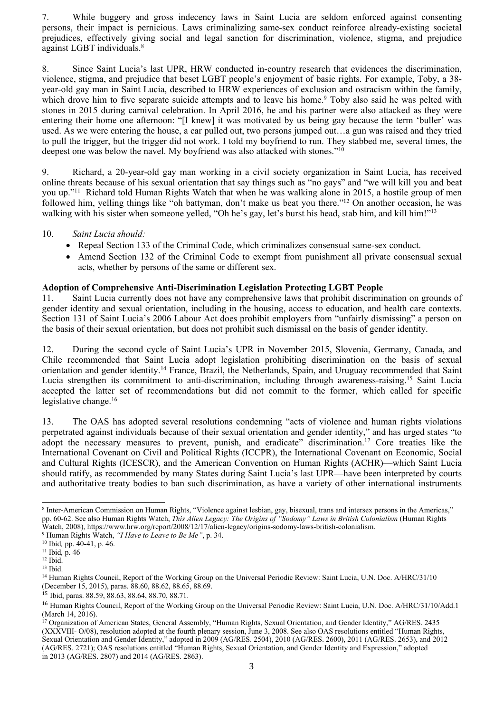7. While buggery and gross indecency laws in Saint Lucia are seldom enforced against consenting persons, their impact is pernicious. Laws criminalizing same-sex conduct reinforce already-existing societal prejudices, effectively giving social and legal sanction for discrimination, violence, stigma, and prejudice against LGBT individuals. 8

8. Since Saint Lucia'<sup>s</sup> last UPR, HRW conducted in-country research that evidences the discrimination, violence, stigma, and prejudice that beset LGBT people'<sup>s</sup> enjoyment of basic rights. For example, Toby, <sup>a</sup> 38 year-old gay man in Saint Lucia, described to HRW experiences of exclusion and ostracism within the family, which drove him to five separate suicide attempts and to leave his home.<sup>9</sup> Toby also said he was pelted with stones in 2015 during carnival celebration. In April 2016, he and his partner were also attacked as they were entering their home one afternoon: "[I knew] it was motivated by us being gay because the term 'buller' was used. As we were entering the house, <sup>a</sup> car pulled out, two persons jumped out…<sup>a</sup> gun was raised and they tried to pull the trigger, but the trigger did not work. I told my boyfriend to run. They stabbed me, several times, the deepest one was below the navel. My boyfriend was also attacked with stones."<sup>10</sup>

9. Richard, <sup>a</sup> 20-year-old gay man working in <sup>a</sup> civil society organization in Saint Lucia, has received online threats because of his sexual orientation that say things such as "no gays" and "we will kill you and beat you up."<sup>11</sup> Richard told Human Rights Watch that when he was walking alone in 2015, <sup>a</sup> hostile group of men followed him, yelling things like "oh battyman, don'<sup>t</sup> make us beat you there."<sup>12</sup> On another occasion, he was walking with his sister when someone yelled, "Oh he's gay, let's burst his head, stab him, and kill him!"<sup>13</sup>

### 10. *Saint Lucia should:*

- Repeal Section 133 of the Criminal Code, which criminalizes consensual same-sex conduct.
- Amend Section 132 of the Criminal Code to exemp<sup>t</sup> from punishment all private consensual sexual acts, whether by persons of the same or different sex.

## **Adoption of Comprehensive Anti-Discrimination Legislation Protecting LGBT People**

11. Saint Lucia currently does not have any comprehensive laws that prohibit discrimination on grounds of gender identity and sexual orientation, including in the housing, access to education, and health care contexts. Section 131 of Saint Lucia'<sup>s</sup> 2006 Labour Act does prohibit employers from "unfairly dismissing" <sup>a</sup> person on the basis of their sexual orientation, but does not prohibit such dismissal on the basis of gender identity.

12. During the second cycle of Saint Lucia'<sup>s</sup> UPR in November 2015, Slovenia, Germany, Canada, and Chile recommended that Saint Lucia adopt legislation prohibiting discrimination on the basis of sexual orientation and gender identity.<sup>14</sup> France, Brazil, the Netherlands, Spain, and Uruguay recommended that Saint Lucia strengthen its commitment to anti-discrimination, including through awareness-raising. 15 Saint Lucia accepted the latter set of recommendations but did not commit to the former, which called for specific legislative change. 16

13. The OAS has adopted several resolutions condemning "acts of violence and human rights violations perpetrated against individuals because of their sexual orientation and gender identity," and has urged states "to adopt the necessary measures to prevent, punish, and eradicate" discrimination.<sup>17</sup> Core treaties like the International Covenant on Civil and Political Rights (ICCPR), the International Covenant on Economic, Social and Cultural Rights (ICESCR), and the American Convention on Human Rights (ACHR)—which Saint Lucia should ratify, as recommended by many States during Saint Lucia'<sup>s</sup> last UPR—have been interpreted by courts and authoritative treaty bodies to ban such discrimination, as have <sup>a</sup> variety of other international instruments

<sup>8</sup> Inter-American Commission on Human Rights, "Violence against lesbian, gay, bisexual, trans and intersex persons in the Americas," pp. 60-62. See also Human Rights Watch, *This Alien Legacy: The Origins of "Sodomy" Laws in British Colonialism* (Human Rights Watch, 2008), https://www.hrw.org/report/2008/12/17/alien-legacy/origins-sodomy-laws-british-colonialism.

<sup>9</sup> Human Rights Watch, *"<sup>I</sup> Have to Leave to Be Me"*, p. 34.

<sup>10</sup> Ibid*,* pp. 40-41, p. 46.

<sup>11</sup> Ibid*,* p. 46

<sup>12</sup> Ibid.

 $13$  Ibid.

<sup>&</sup>lt;sup>14</sup> Human Rights Council, Report of the Working Group on the Universal Periodic Review: Saint Lucia, U.N. Doc. A/HRC/31/10 (December 15, 2015), paras. 88.60, 88.62, 88.65, 88.69.

<sup>15</sup> Ibid, paras. 88.59, 88.63, 88.64, 88.70, 88.71.

<sup>&</sup>lt;sup>16</sup> Human Rights Council, Report of the Working Group on the Universal Periodic Review: Saint Lucia, U.N. Doc. A/HRC/31/10/Add.1 (March 14, 2016).

<sup>17</sup> Organization of American States, General Assembly, "Human Rights, Sexual Orientation, and Gender Identity," AG/RES. 2435 (XXXVIII- O/08), resolution adopted at the fourth plenary session, June 3, 2008. See also OAS resolutions entitled "Human Rights, Sexual Orientation and Gender Identity," adopted in 2009 (AG/RES. 2504), 2010 (AG/RES. 2600), 2011 (AG/RES. 2653), and 2012 (AG/RES. 2721); OAS resolutions entitled "Human Rights, Sexual Orientation, and Gender Identity and Expression," adopted in 2013 (AG/RES. 2807) and 2014 (AG/RES. 2863).